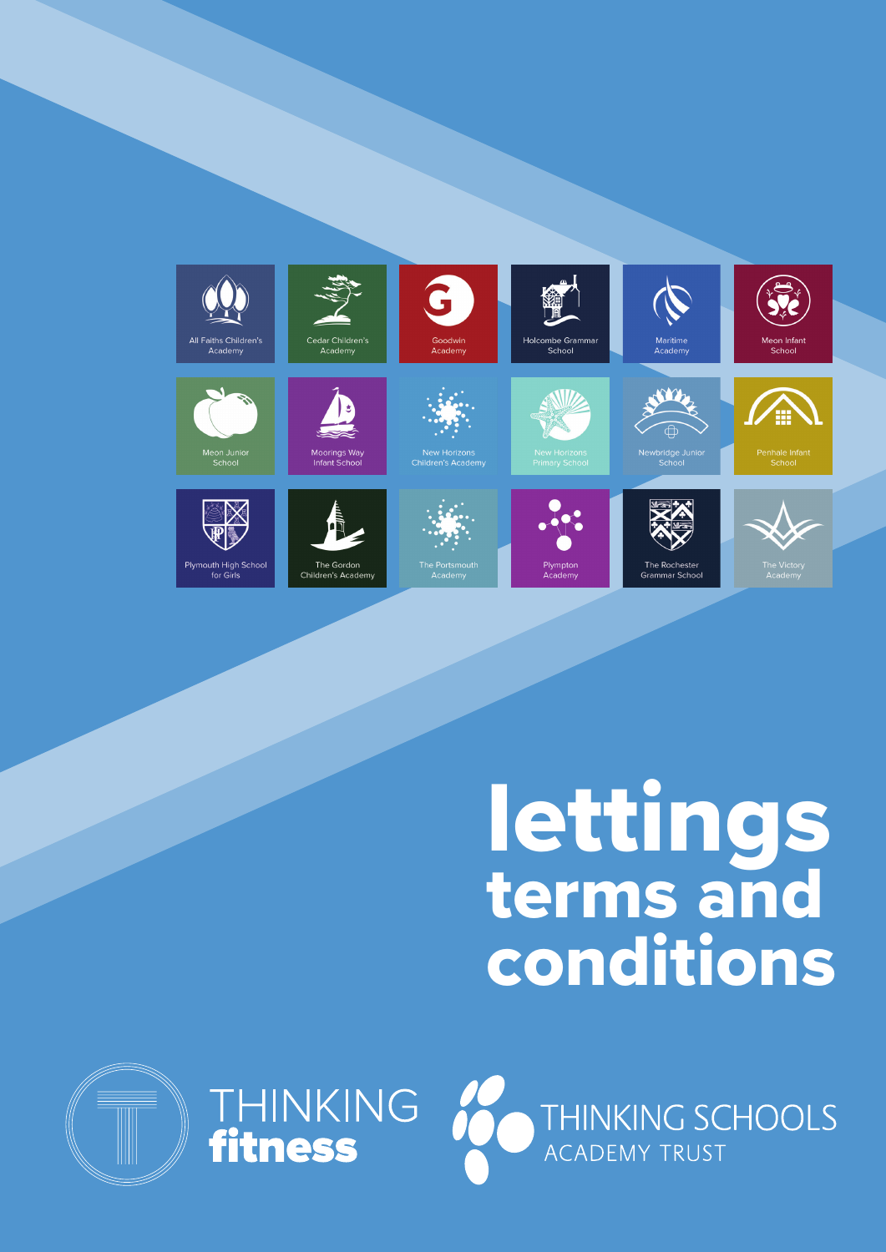

## lettings terms and conditions





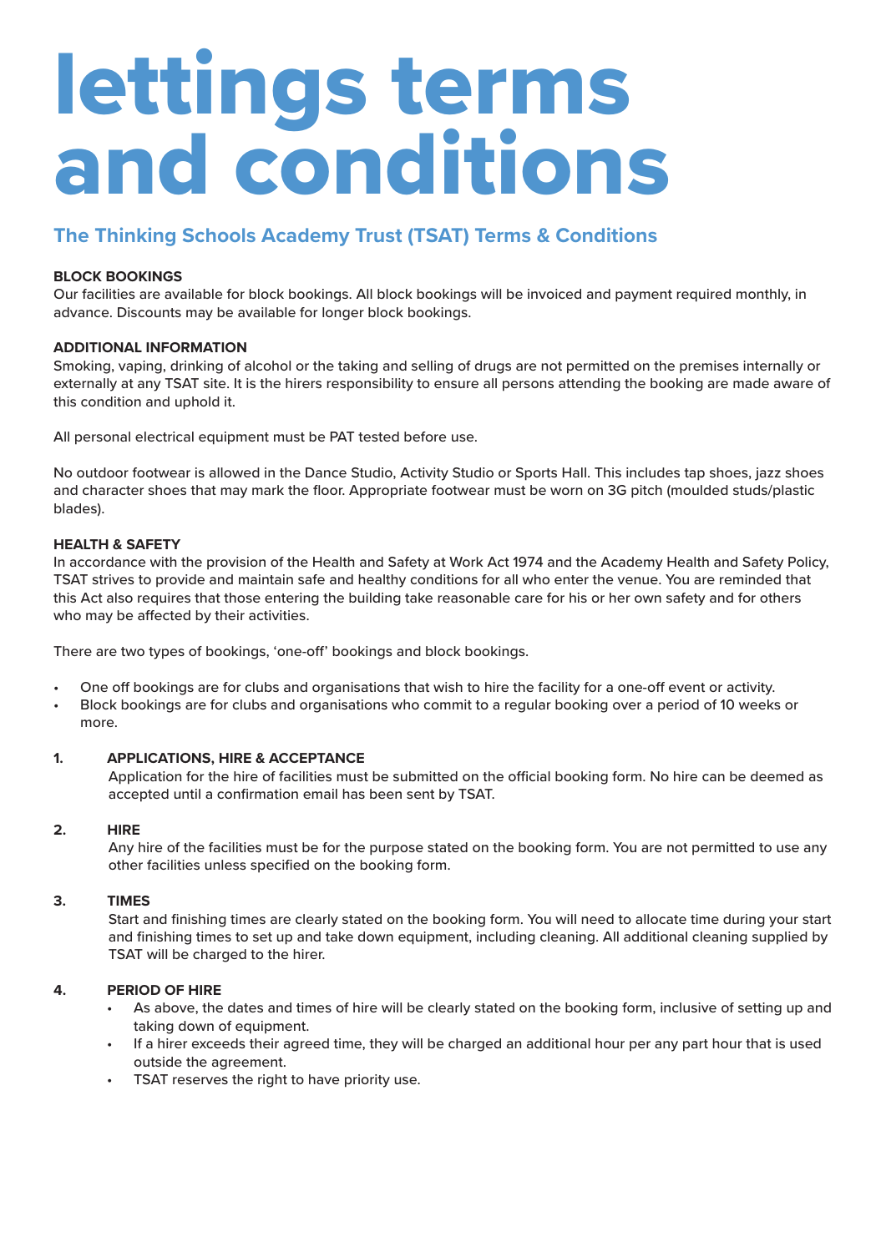# lettings terms and conditions

### **The Thinking Schools Academy Trust (TSAT) Terms & Conditions**

#### **BLOCK BOOKINGS**

Our facilities are available for block bookings. All block bookings will be invoiced and payment required monthly, in advance. Discounts may be available for longer block bookings.

#### **ADDITIONAL INFORMATION**

Smoking, vaping, drinking of alcohol or the taking and selling of drugs are not permitted on the premises internally or externally at any TSAT site. It is the hirers responsibility to ensure all persons attending the booking are made aware of this condition and uphold it.

All personal electrical equipment must be PAT tested before use.

No outdoor footwear is allowed in the Dance Studio, Activity Studio or Sports Hall. This includes tap shoes, jazz shoes and character shoes that may mark the floor. Appropriate footwear must be worn on 3G pitch (moulded studs/plastic blades).

#### **HEALTH & SAFETY**

In accordance with the provision of the Health and Safety at Work Act 1974 and the Academy Health and Safety Policy, TSAT strives to provide and maintain safe and healthy conditions for all who enter the venue. You are reminded that this Act also requires that those entering the building take reasonable care for his or her own safety and for others who may be affected by their activities.

There are two types of bookings, 'one-off' bookings and block bookings.

- One off bookings are for clubs and organisations that wish to hire the facility for a one-off event or activity.
- Block bookings are for clubs and organisations who commit to a regular booking over a period of 10 weeks or more.

#### **1. APPLICATIONS, HIRE & ACCEPTANCE**

Application for the hire of facilities must be submitted on the official booking form. No hire can be deemed as accepted until a confirmation email has been sent by TSAT.

#### **2. HIRE**

Any hire of the facilities must be for the purpose stated on the booking form. You are not permitted to use any other facilities unless specified on the booking form.

#### **3. TIMES**

Start and finishing times are clearly stated on the booking form. You will need to allocate time during your start and finishing times to set up and take down equipment, including cleaning. All additional cleaning supplied by TSAT will be charged to the hirer.

#### **4. PERIOD OF HIRE**

- As above, the dates and times of hire will be clearly stated on the booking form, inclusive of setting up and taking down of equipment.
- If a hirer exceeds their agreed time, they will be charged an additional hour per any part hour that is used outside the agreement.
- TSAT reserves the right to have priority use.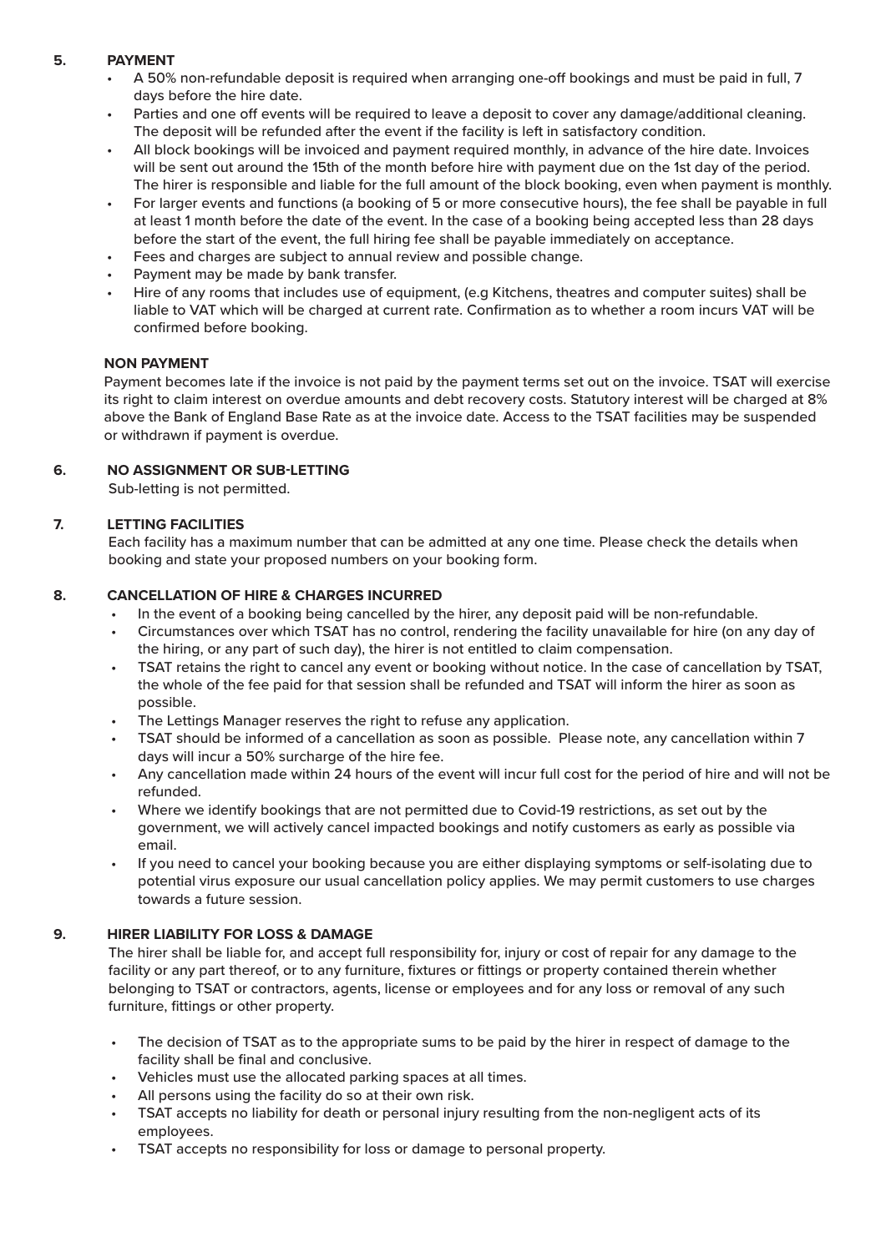#### **5. PAYMENT**

- A 50% non-refundable deposit is required when arranging one-off bookings and must be paid in full, 7 days before the hire date.
- Parties and one off events will be required to leave a deposit to cover any damage/additional cleaning. The deposit will be refunded after the event if the facility is left in satisfactory condition.
- All block bookings will be invoiced and payment required monthly, in advance of the hire date. Invoices will be sent out around the 15th of the month before hire with payment due on the 1st day of the period. The hirer is responsible and liable for the full amount of the block booking, even when payment is monthly.
- For larger events and functions (a booking of 5 or more consecutive hours), the fee shall be payable in full at least 1 month before the date of the event. In the case of a booking being accepted less than 28 days before the start of the event, the full hiring fee shall be payable immediately on acceptance.
- Fees and charges are subject to annual review and possible change.
- Payment may be made by bank transfer.
- Hire of any rooms that includes use of equipment, (e.g Kitchens, theatres and computer suites) shall be liable to VAT which will be charged at current rate. Confirmation as to whether a room incurs VAT will be confirmed before booking.

#### **NON PAYMENT**

Payment becomes late if the invoice is not paid by the payment terms set out on the invoice. TSAT will exercise its right to claim interest on overdue amounts and debt recovery costs. Statutory interest will be charged at 8% above the Bank of England Base Rate as at the invoice date. Access to the TSAT facilities may be suspended or withdrawn if payment is overdue.

#### **6. NO ASSIGNMENT OR SUB-LETTING**

Sub-letting is not permitted.

#### **7. LETTING FACILITIES**

Each facility has a maximum number that can be admitted at any one time. Please check the details when booking and state your proposed numbers on your booking form.

#### **8. CANCELLATION OF HIRE & CHARGES INCURRED**

- In the event of a booking being cancelled by the hirer, any deposit paid will be non-refundable.
- Circumstances over which TSAT has no control, rendering the facility unavailable for hire (on any day of the hiring, or any part of such day), the hirer is not entitled to claim compensation.
- TSAT retains the right to cancel any event or booking without notice. In the case of cancellation by TSAT, the whole of the fee paid for that session shall be refunded and TSAT will inform the hirer as soon as possible.
- The Lettings Manager reserves the right to refuse any application.
- TSAT should be informed of a cancellation as soon as possible. Please note, any cancellation within 7 days will incur a 50% surcharge of the hire fee.
- Any cancellation made within 24 hours of the event will incur full cost for the period of hire and will not be refunded.
- Where we identify bookings that are not permitted due to Covid-19 restrictions, as set out by the government, we will actively cancel impacted bookings and notify customers as early as possible via email.
- If you need to cancel your booking because you are either displaying symptoms or self-isolating due to potential virus exposure our usual cancellation policy applies. We may permit customers to use charges towards a future session.

#### **9. HIRER LIABILITY FOR LOSS & DAMAGE**

The hirer shall be liable for, and accept full responsibility for, injury or cost of repair for any damage to the facility or any part thereof, or to any furniture, fixtures or fittings or property contained therein whether belonging to TSAT or contractors, agents, license or employees and for any loss or removal of any such furniture, fittings or other property.

- The decision of TSAT as to the appropriate sums to be paid by the hirer in respect of damage to the facility shall be final and conclusive.
- Vehicles must use the allocated parking spaces at all times.
- All persons using the facility do so at their own risk.
- TSAT accepts no liability for death or personal injury resulting from the non-negligent acts of its employees.
- TSAT accepts no responsibility for loss or damage to personal property.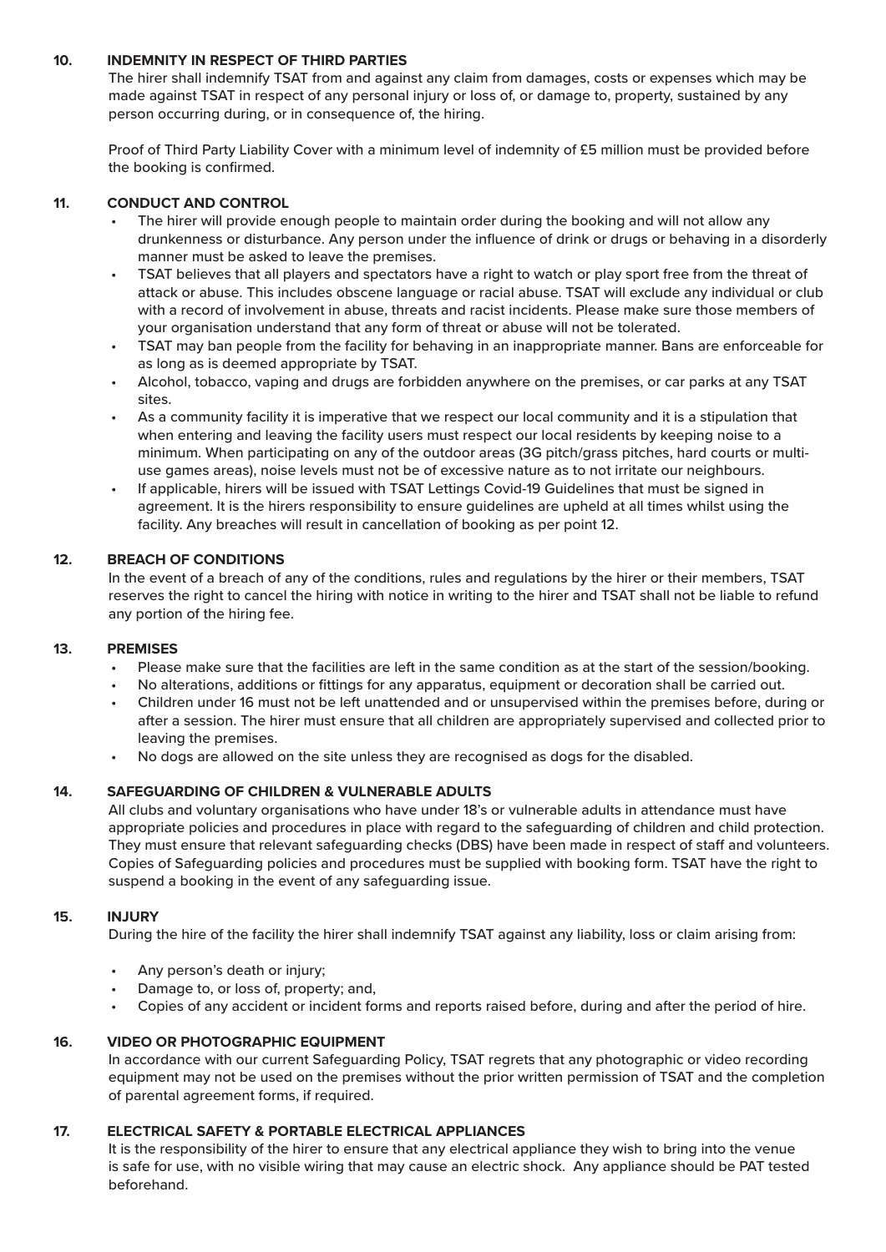#### **10. INDEMNITY IN RESPECT OF THIRD PARTIES**

The hirer shall indemnify TSAT from and against any claim from damages, costs or expenses which may be made against TSAT in respect of any personal injury or loss of, or damage to, property, sustained by any person occurring during, or in consequence of, the hiring.

Proof of Third Party Liability Cover with a minimum level of indemnity of £5 million must be provided before the booking is confirmed.

#### **11. CONDUCT AND CONTROL**

- The hirer will provide enough people to maintain order during the booking and will not allow any drunkenness or disturbance. Any person under the influence of drink or drugs or behaving in a disorderly manner must be asked to leave the premises.
- TSAT believes that all players and spectators have a right to watch or play sport free from the threat of attack or abuse. This includes obscene language or racial abuse. TSAT will exclude any individual or club with a record of involvement in abuse, threats and racist incidents. Please make sure those members of your organisation understand that any form of threat or abuse will not be tolerated.
- TSAT may ban people from the facility for behaving in an inappropriate manner. Bans are enforceable for as long as is deemed appropriate by TSAT.
- Alcohol, tobacco, vaping and drugs are forbidden anywhere on the premises, or car parks at any TSAT sites.
- As a community facility it is imperative that we respect our local community and it is a stipulation that when entering and leaving the facility users must respect our local residents by keeping noise to a minimum. When participating on any of the outdoor areas (3G pitch/grass pitches, hard courts or multiuse games areas), noise levels must not be of excessive nature as to not irritate our neighbours.
- If applicable, hirers will be issued with TSAT Lettings Covid-19 Guidelines that must be signed in agreement. It is the hirers responsibility to ensure guidelines are upheld at all times whilst using the facility. Any breaches will result in cancellation of booking as per point 12.

#### **12. BREACH OF CONDITIONS**

In the event of a breach of any of the conditions, rules and regulations by the hirer or their members, TSAT reserves the right to cancel the hiring with notice in writing to the hirer and TSAT shall not be liable to refund any portion of the hiring fee.

#### **13. PREMISES**

- Please make sure that the facilities are left in the same condition as at the start of the session/booking.
- No alterations, additions or fittings for any apparatus, equipment or decoration shall be carried out.
- Children under 16 must not be left unattended and or unsupervised within the premises before, during or after a session. The hirer must ensure that all children are appropriately supervised and collected prior to leaving the premises.
- No dogs are allowed on the site unless they are recognised as dogs for the disabled.

#### **14. SAFEGUARDING OF CHILDREN & VULNERABLE ADULTS**

All clubs and voluntary organisations who have under 18's or vulnerable adults in attendance must have appropriate policies and procedures in place with regard to the safeguarding of children and child protection. They must ensure that relevant safeguarding checks (DBS) have been made in respect of staff and volunteers. Copies of Safeguarding policies and procedures must be supplied with booking form. TSAT have the right to suspend a booking in the event of any safeguarding issue.

#### **15. INJURY**

During the hire of the facility the hirer shall indemnify TSAT against any liability, loss or claim arising from:

- Any person's death or injury;
- Damage to, or loss of, property; and,
- Copies of any accident or incident forms and reports raised before, during and after the period of hire.

#### **16. VIDEO OR PHOTOGRAPHIC EQUIPMENT**

In accordance with our current Safeguarding Policy, TSAT regrets that any photographic or video recording equipment may not be used on the premises without the prior written permission of TSAT and the completion of parental agreement forms, if required.

#### **17. ELECTRICAL SAFETY & PORTABLE ELECTRICAL APPLIANCES**

It is the responsibility of the hirer to ensure that any electrical appliance they wish to bring into the venue is safe for use, with no visible wiring that may cause an electric shock. Any appliance should be PAT tested beforehand.